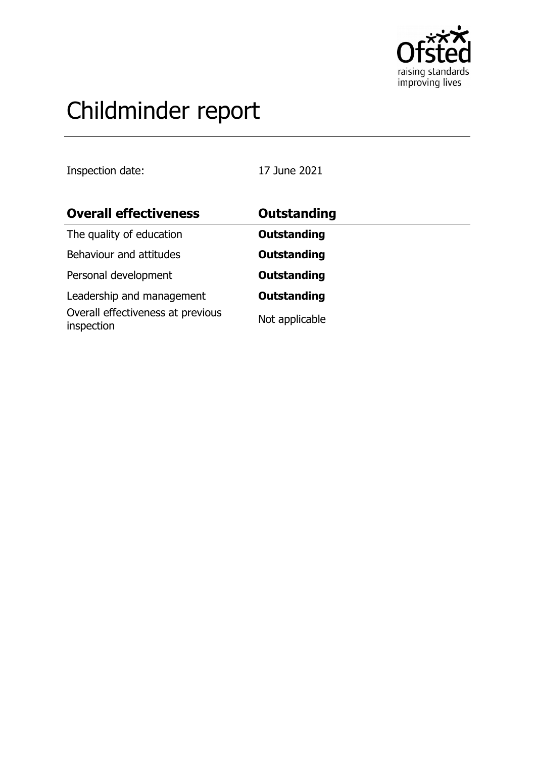

# Childminder report

Inspection date: 17 June 2021

| <b>Overall effectiveness</b>                    | Outstanding        |
|-------------------------------------------------|--------------------|
| The quality of education                        | <b>Outstanding</b> |
| Behaviour and attitudes                         | <b>Outstanding</b> |
| Personal development                            | <b>Outstanding</b> |
| Leadership and management                       | <b>Outstanding</b> |
| Overall effectiveness at previous<br>inspection | Not applicable     |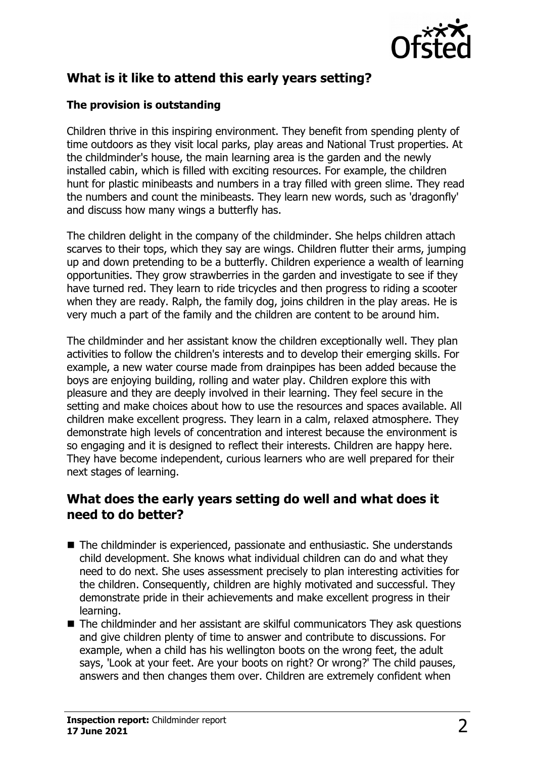

# **What is it like to attend this early years setting?**

#### **The provision is outstanding**

Children thrive in this inspiring environment. They benefit from spending plenty of time outdoors as they visit local parks, play areas and National Trust properties. At the childminder's house, the main learning area is the garden and the newly installed cabin, which is filled with exciting resources. For example, the children hunt for plastic minibeasts and numbers in a tray filled with green slime. They read the numbers and count the minibeasts. They learn new words, such as 'dragonfly' and discuss how many wings a butterfly has.

The children delight in the company of the childminder. She helps children attach scarves to their tops, which they say are wings. Children flutter their arms, jumping up and down pretending to be a butterfly. Children experience a wealth of learning opportunities. They grow strawberries in the garden and investigate to see if they have turned red. They learn to ride tricycles and then progress to riding a scooter when they are ready. Ralph, the family dog, joins children in the play areas. He is very much a part of the family and the children are content to be around him.

The childminder and her assistant know the children exceptionally well. They plan activities to follow the children's interests and to develop their emerging skills. For example, a new water course made from drainpipes has been added because the boys are enjoying building, rolling and water play. Children explore this with pleasure and they are deeply involved in their learning. They feel secure in the setting and make choices about how to use the resources and spaces available. All children make excellent progress. They learn in a calm, relaxed atmosphere. They demonstrate high levels of concentration and interest because the environment is so engaging and it is designed to reflect their interests. Children are happy here. They have become independent, curious learners who are well prepared for their next stages of learning.

### **What does the early years setting do well and what does it need to do better?**

- $\blacksquare$  The childminder is experienced, passionate and enthusiastic. She understands child development. She knows what individual children can do and what they need to do next. She uses assessment precisely to plan interesting activities for the children. Consequently, children are highly motivated and successful. They demonstrate pride in their achievements and make excellent progress in their learning.
- $\blacksquare$  The childminder and her assistant are skilful communicators They ask questions and give children plenty of time to answer and contribute to discussions. For example, when a child has his wellington boots on the wrong feet, the adult says, 'Look at your feet. Are your boots on right? Or wrong?' The child pauses, answers and then changes them over. Children are extremely confident when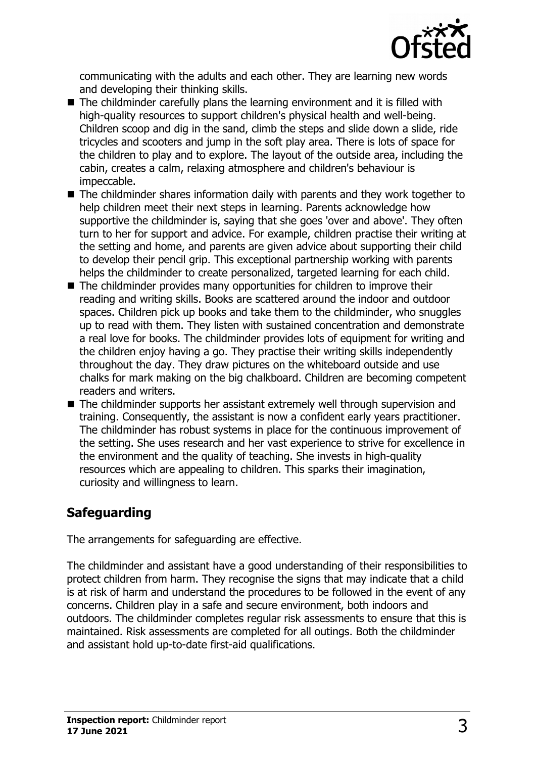

communicating with the adults and each other. They are learning new words and developing their thinking skills.

- $\blacksquare$  The childminder carefully plans the learning environment and it is filled with high-quality resources to support children's physical health and well-being. Children scoop and dig in the sand, climb the steps and slide down a slide, ride tricycles and scooters and jump in the soft play area. There is lots of space for the children to play and to explore. The layout of the outside area, including the cabin, creates a calm, relaxing atmosphere and children's behaviour is impeccable.
- $\blacksquare$  The childminder shares information daily with parents and they work together to help children meet their next steps in learning. Parents acknowledge how supportive the childminder is, saying that she goes 'over and above'. They often turn to her for support and advice. For example, children practise their writing at the setting and home, and parents are given advice about supporting their child to develop their pencil grip. This exceptional partnership working with parents helps the childminder to create personalized, targeted learning for each child.
- $\blacksquare$  The childminder provides many opportunities for children to improve their reading and writing skills. Books are scattered around the indoor and outdoor spaces. Children pick up books and take them to the childminder, who snuggles up to read with them. They listen with sustained concentration and demonstrate a real love for books. The childminder provides lots of equipment for writing and the children enjoy having a go. They practise their writing skills independently throughout the day. They draw pictures on the whiteboard outside and use chalks for mark making on the big chalkboard. Children are becoming competent readers and writers.
- $\blacksquare$  The childminder supports her assistant extremely well through supervision and training. Consequently, the assistant is now a confident early years practitioner. The childminder has robust systems in place for the continuous improvement of the setting. She uses research and her vast experience to strive for excellence in the environment and the quality of teaching. She invests in high-quality resources which are appealing to children. This sparks their imagination, curiosity and willingness to learn.

## **Safeguarding**

The arrangements for safeguarding are effective.

The childminder and assistant have a good understanding of their responsibilities to protect children from harm. They recognise the signs that may indicate that a child is at risk of harm and understand the procedures to be followed in the event of any concerns. Children play in a safe and secure environment, both indoors and outdoors. The childminder completes regular risk assessments to ensure that this is maintained. Risk assessments are completed for all outings. Both the childminder and assistant hold up-to-date first-aid qualifications.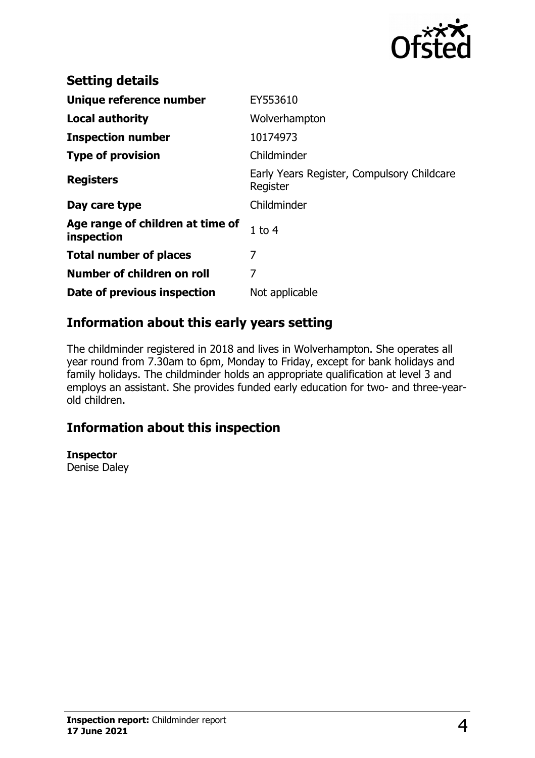

| <b>Setting details</b>                         |                                                        |
|------------------------------------------------|--------------------------------------------------------|
| Unique reference number                        | EY553610                                               |
| <b>Local authority</b>                         | Wolverhampton                                          |
| <b>Inspection number</b>                       | 10174973                                               |
| <b>Type of provision</b>                       | Childminder                                            |
| <b>Registers</b>                               | Early Years Register, Compulsory Childcare<br>Register |
| Day care type                                  | Childminder                                            |
| Age range of children at time of<br>inspection | $1$ to $4$                                             |
| <b>Total number of places</b>                  | 7                                                      |
| Number of children on roll                     | 7                                                      |
| Date of previous inspection                    | Not applicable                                         |

## **Information about this early years setting**

The childminder registered in 2018 and lives in Wolverhampton. She operates all year round from 7.30am to 6pm, Monday to Friday, except for bank holidays and family holidays. The childminder holds an appropriate qualification at level 3 and employs an assistant. She provides funded early education for two- and three-yearold children.

# **Information about this inspection**

**Inspector** Denise Daley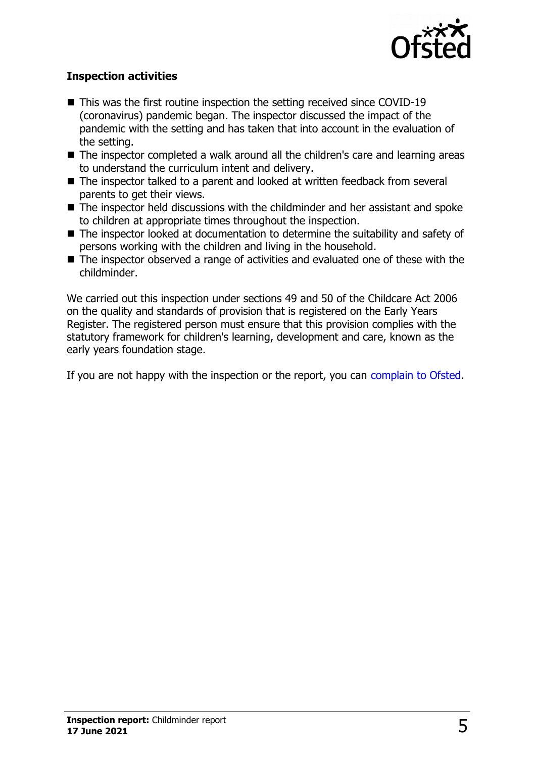

#### **Inspection activities**

- $\blacksquare$  This was the first routine inspection the setting received since COVID-19 (coronavirus) pandemic began. The inspector discussed the impact of the pandemic with the setting and has taken that into account in the evaluation of the setting.
- The inspector completed a walk around all the children's care and learning areas to understand the curriculum intent and delivery.
- The inspector talked to a parent and looked at written feedback from several parents to get their views.
- $\blacksquare$  The inspector held discussions with the childminder and her assistant and spoke to children at appropriate times throughout the inspection.
- The inspector looked at documentation to determine the suitability and safety of persons working with the children and living in the household.
- $\blacksquare$  The inspector observed a range of activities and evaluated one of these with the childminder.

We carried out this inspection under sections 49 and 50 of the Childcare Act 2006 on the quality and standards of provision that is registered on the Early Years Register. The registered person must ensure that this provision complies with the statutory framework for children's learning, development and care, known as the early years foundation stage.

If you are not happy with the inspection or the report, you can [complain to Ofsted.](http://www.gov.uk/complain-ofsted-report)